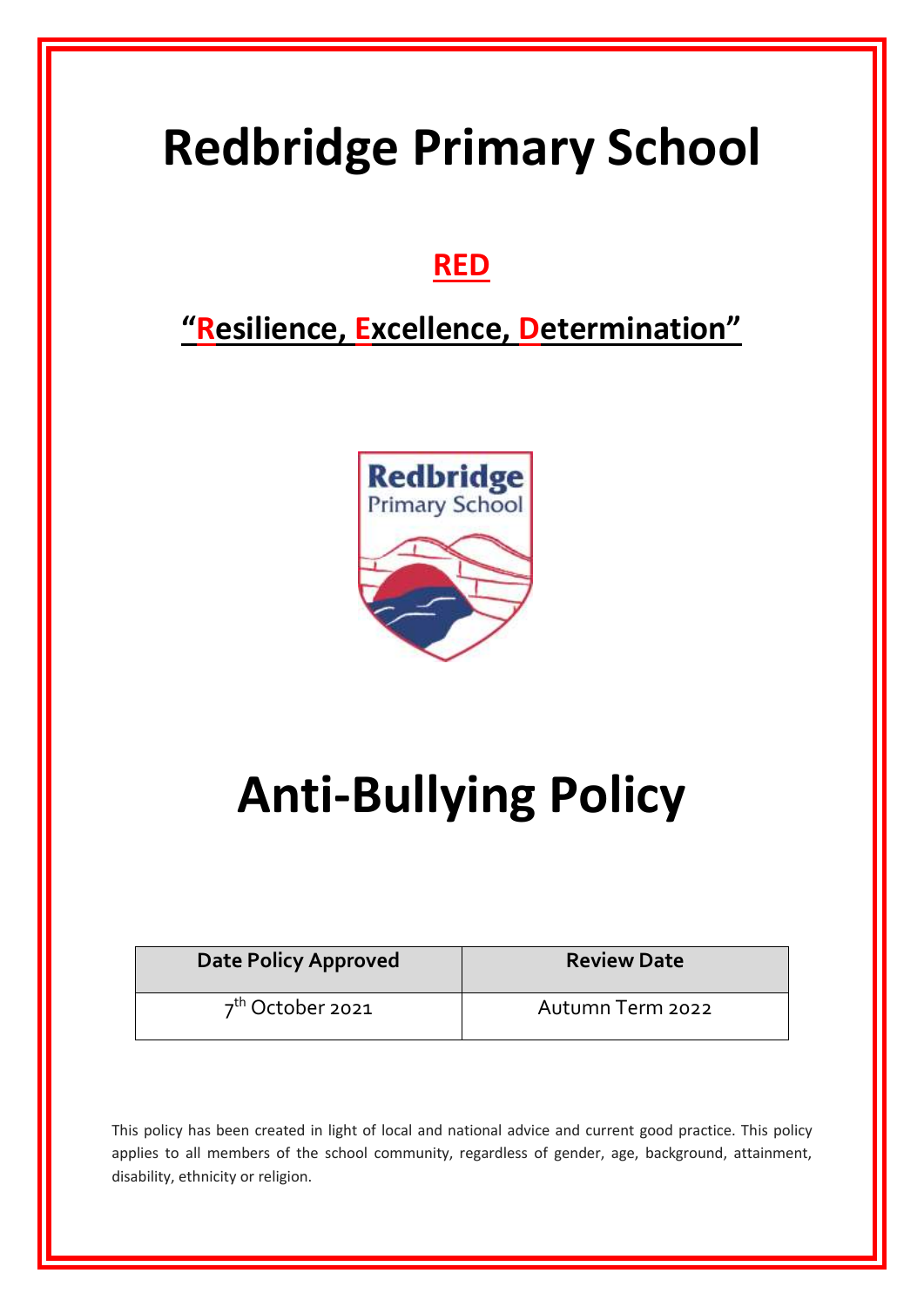# **Redbridge Primary School**

## **RED**

## **"Resilience, Excellence, Determination"**



# **Anti-Bullying Policy**

| <b>Date Policy Approved</b> | <b>Review Date</b> |
|-----------------------------|--------------------|
| $7th$ October 2021          | Autumn Term 2022   |

This policy has been created in light of local and national advice and current good practice. This policy applies to all members of the school community, regardless of gender, age, background, attainment, disability, ethnicity or religion.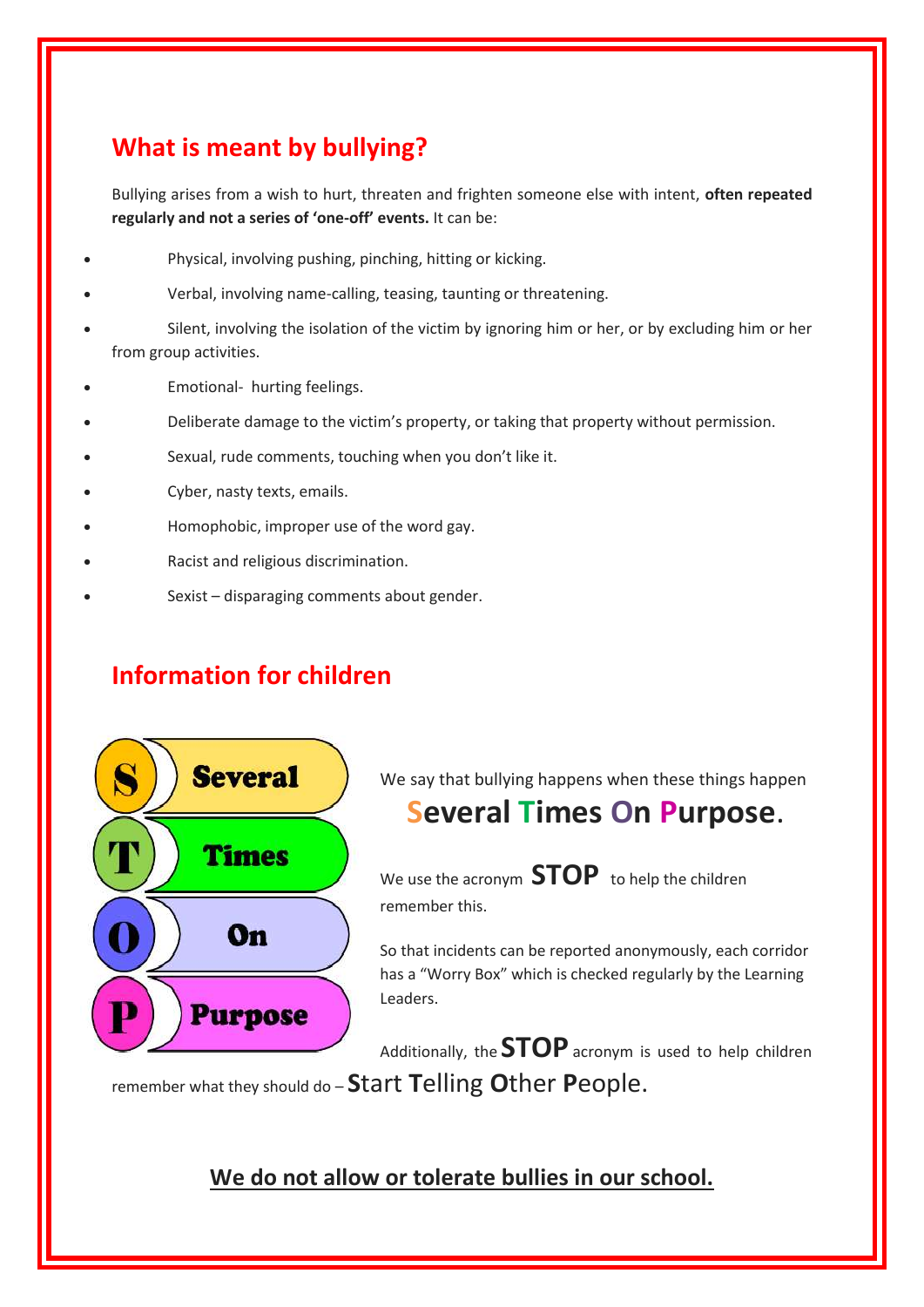## **What is meant by bullying?**

Bullying arises from a wish to hurt, threaten and frighten someone else with intent, **often repeated regularly and not a series of 'one-off' events.** It can be:

- Physical, involving pushing, pinching, hitting or kicking.
- Verbal, involving name-calling, teasing, taunting or threatening.
- Silent, involving the isolation of the victim by ignoring him or her, or by excluding him or her from group activities.
- Emotional- hurting feelings.
- Deliberate damage to the victim's property, or taking that property without permission.
- Sexual, rude comments, touching when you don't like it.
- Cyber, nasty texts, emails.
- Homophobic, improper use of the word gay.
- Racist and religious discrimination.
- Sexist disparaging comments about gender.

## **Information for children**



We say that bullying happens when these things happen

## **Several Times On Purpose**.

We use the acronym **STOP** to help the children remember this.

So that incidents can be reported anonymously, each corridor has a "Worry Box" which is checked regularly by the Learning Leaders.

Additionally, the **STOP**acronym is used to help children remember what they should do – **S**tart **T**elling **O**ther **P**eople.

**We do not allow or tolerate bullies in our school.**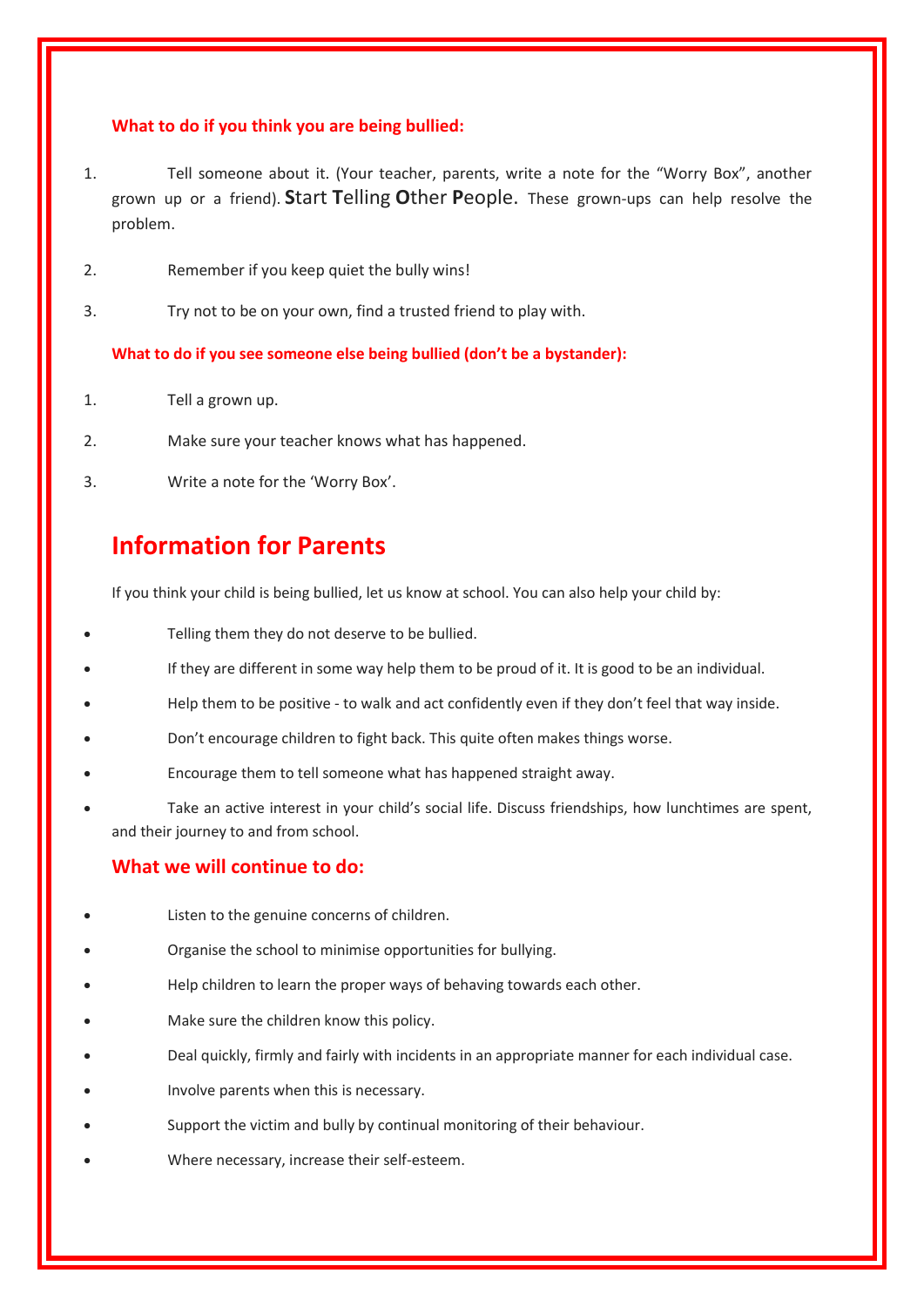#### **What to do if you think you are being bullied:**

- 1. Tell someone about it. (Your teacher, parents, write a note for the "Worry Box", another grown up or a friend). **S**tart **T**elling **O**ther **P**eople. These grown-ups can help resolve the problem.
- 2. Remember if you keep quiet the bully wins!
- 3. Try not to be on your own, find a trusted friend to play with.

**What to do if you see someone else being bullied (don't be a bystander):**

- 1. Tell a grown up.
- 2. Make sure your teacher knows what has happened.
- 3. Write a note for the 'Worry Box'.

## **Information for Parents**

If you think your child is being bullied, let us know at school. You can also help your child by:

- Telling them they do not deserve to be bullied.
- If they are different in some way help them to be proud of it. It is good to be an individual.
- Help them to be positive to walk and act confidently even if they don't feel that way inside.
- Don't encourage children to fight back. This quite often makes things worse.
- Encourage them to tell someone what has happened straight away.
- Take an active interest in your child's social life. Discuss friendships, how lunchtimes are spent, and their journey to and from school.

#### **What we will continue to do:**

- Listen to the genuine concerns of children.
- Organise the school to minimise opportunities for bullying.
- Help children to learn the proper ways of behaving towards each other.
- Make sure the children know this policy.
- Deal quickly, firmly and fairly with incidents in an appropriate manner for each individual case.
- Involve parents when this is necessary.
- Support the victim and bully by continual monitoring of their behaviour.
- Where necessary, increase their self-esteem.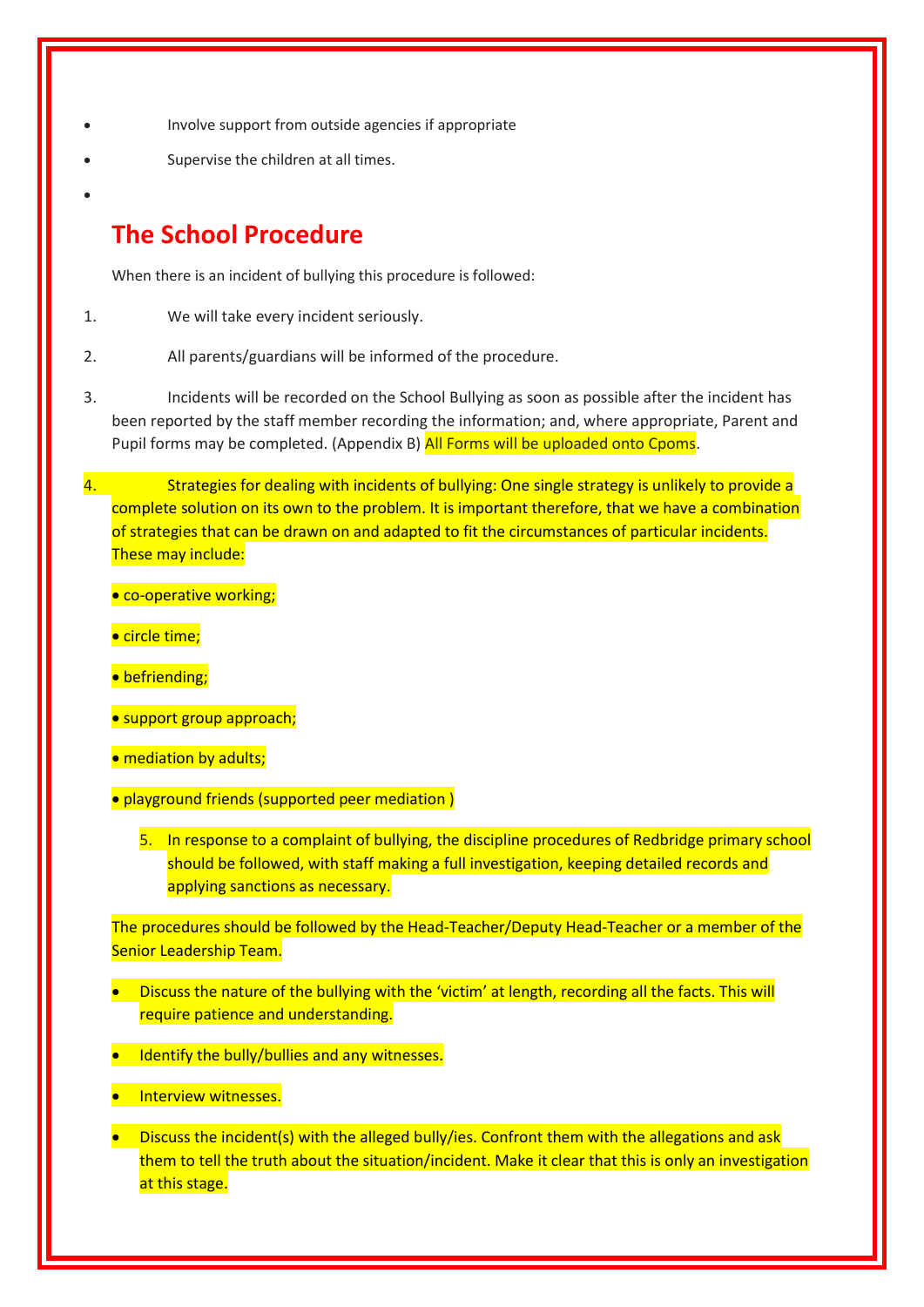- Involve support from outside agencies if appropriate
- Supervise the children at all times.
- $\bullet$

### **The School Procedure**

When there is an incident of bullying this procedure is followed:

- 1. We will take every incident seriously.
- 2. All parents/guardians will be informed of the procedure.
- 3. Incidents will be recorded on the School Bullying as soon as possible after the incident has been reported by the staff member recording the information; and, where appropriate, Parent and Pupil forms may be completed. (Appendix B) All Forms will be uploaded onto Cpoms.
- 4. Strategies for dealing with incidents of bullying: One single strategy is unlikely to provide a complete solution on its own to the problem. It is important therefore, that we have a combination of strategies that can be drawn on and adapted to fit the circumstances of particular incidents. These may include:
	- **.** co-operative working;
	- circle time;
	- **•** befriending;
	- **•** support group approach;
	- mediation by adults;
	- playground friends (supported peer mediation )
		- 5. In response to a complaint of bullying, the discipline procedures of Redbridge primary school should be followed, with staff making a full investigation, keeping detailed records and applying sanctions as necessary.

The procedures should be followed by the Head-Teacher/Deputy Head-Teacher or a member of the Senior Leadership Team.

- Discuss the nature of the bullying with the 'victim' at length, recording all the facts. This will require patience and understanding.
- Identify the bully/bullies and any witnesses.
- **Interview witnesses.**
- **Discuss the incident(s) with the alleged bully/ies. Confront them with the allegations and ask** them to tell the truth about the situation/incident. Make it clear that this is only an investigation at this stage.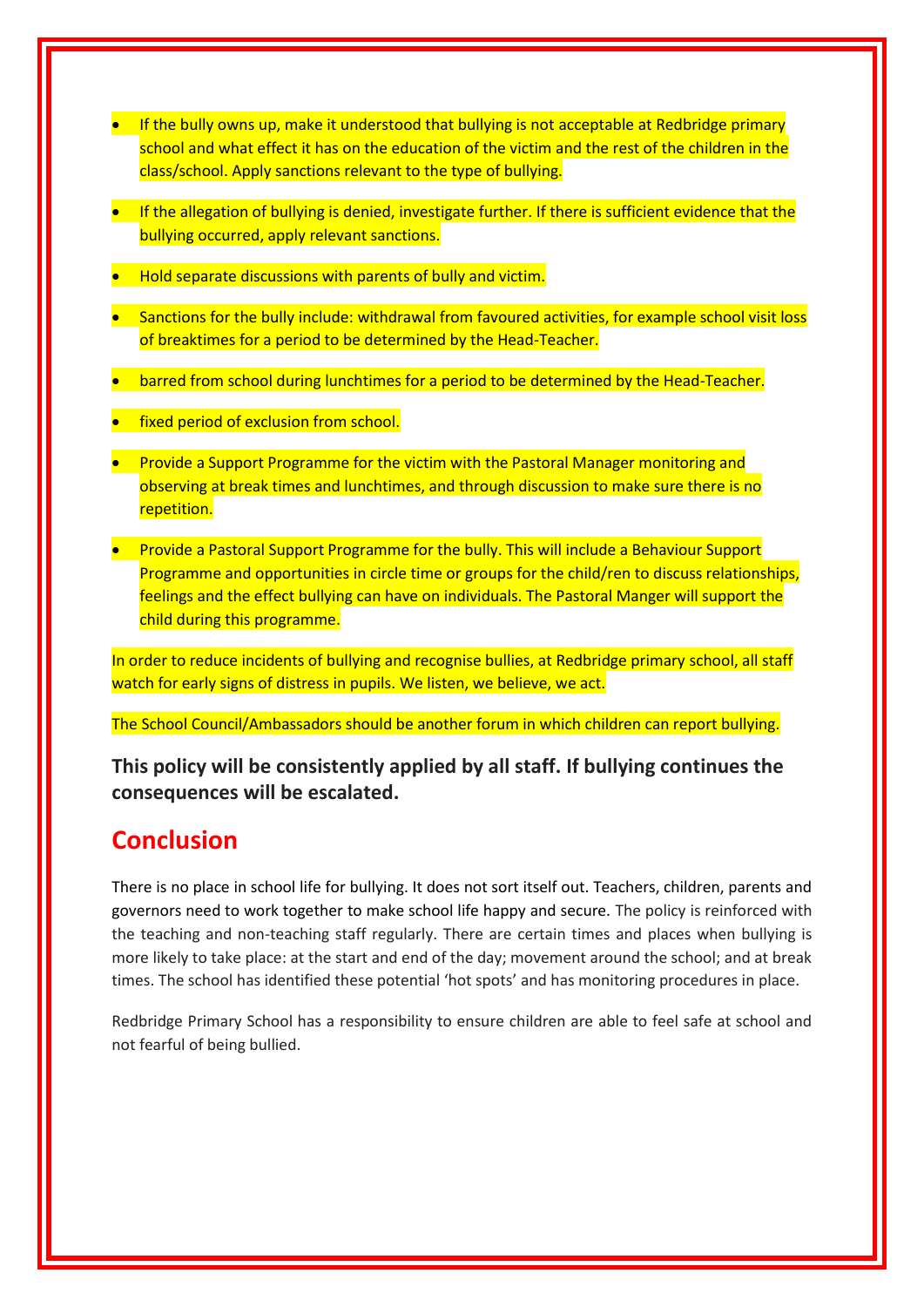- **If the bully owns up, make it understood that bullying is not acceptable at Redbridge primary** school and what effect it has on the education of the victim and the rest of the children in the class/school. Apply sanctions relevant to the type of bullying.
- **If the allegation of bullying is denied, investigate further. If there is sufficient evidence that the** bullying occurred, apply relevant sanctions.
- Hold separate discussions with parents of bully and victim.
- **•** Sanctions for the bully include: withdrawal from favoured activities, for example school visit loss of breaktimes for a period to be determined by the Head-Teacher.
- barred from school during lunchtimes for a period to be determined by the Head-Teacher.
- **fixed period of exclusion from school.**
- **•** Provide a Support Programme for the victim with the Pastoral Manager monitoring and observing at break times and lunchtimes, and through discussion to make sure there is no repetition.
- **•** Provide a Pastoral Support Programme for the bully. This will include a Behaviour Support Programme and opportunities in circle time or groups for the child/ren to discuss relationships, feelings and the effect bullying can have on individuals. The Pastoral Manger will support the child during this programme.

In order to reduce incidents of bullying and recognise bullies, at Redbridge primary school, all staff watch for early signs of distress in pupils. We listen, we believe, we act.

The School Council/Ambassadors should be another forum in which children can report bullying.

**This policy will be consistently applied by all staff. If bullying continues the consequences will be escalated.**

### **Conclusion**

There is no place in school life for bullying. It does not sort itself out. Teachers, children, parents and governors need to work together to make school life happy and secure. The policy is reinforced with the teaching and non-teaching staff regularly. There are certain times and places when bullying is more likely to take place: at the start and end of the day; movement around the school; and at break times. The school has identified these potential 'hot spots' and has monitoring procedures in place.

Redbridge Primary School has a responsibility to ensure children are able to feel safe at school and not fearful of being bullied.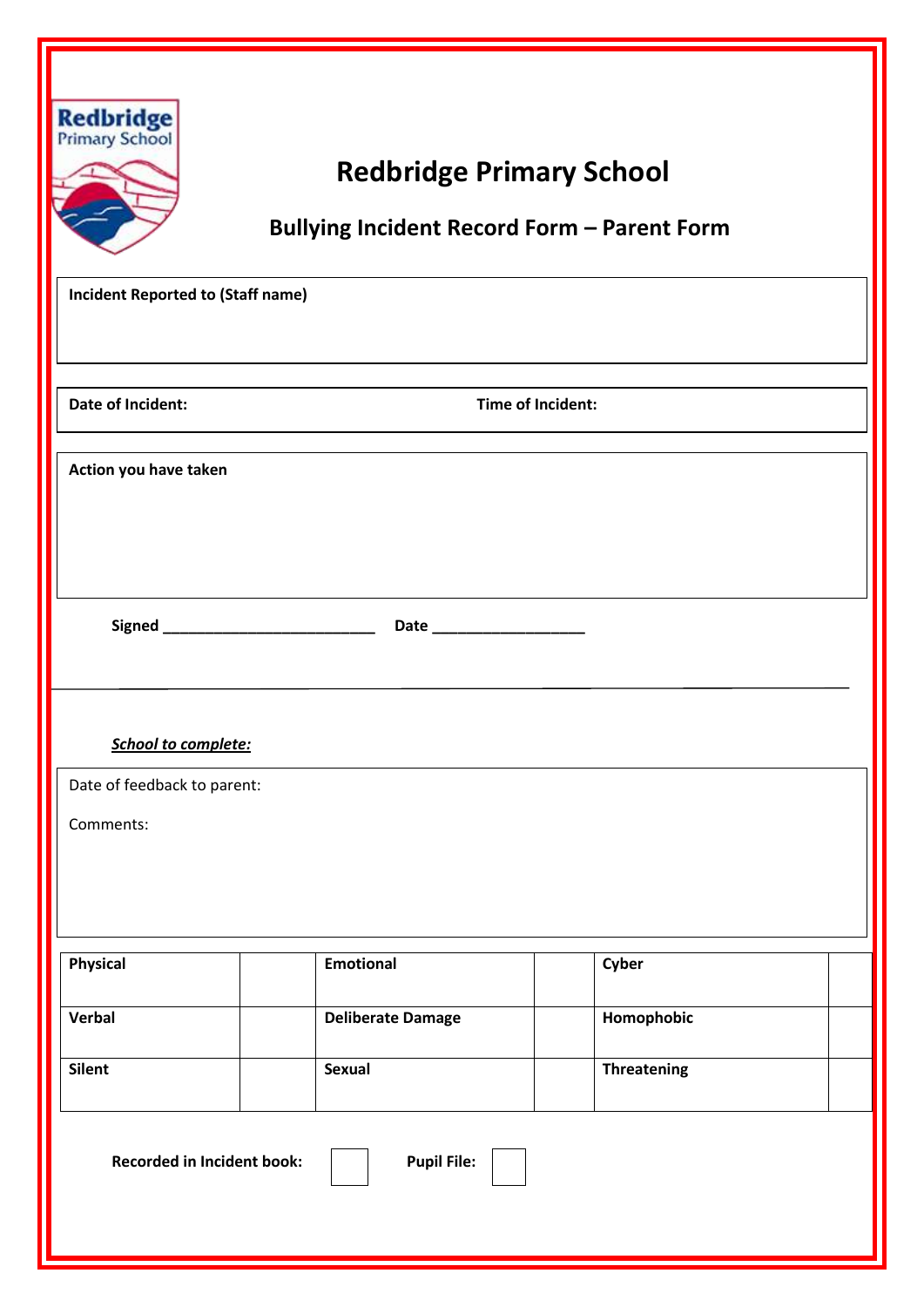| <b>Redbridge</b><br>Primary School<br><b>Redbridge Primary School</b><br><b>Bullying Incident Record Form - Parent Form</b><br><b>Incident Reported to (Staff name)</b> |  |                          |  |                    |  |
|-------------------------------------------------------------------------------------------------------------------------------------------------------------------------|--|--------------------------|--|--------------------|--|
|                                                                                                                                                                         |  |                          |  |                    |  |
|                                                                                                                                                                         |  |                          |  |                    |  |
| Date of Incident:                                                                                                                                                       |  | Time of Incident:        |  |                    |  |
| Action you have taken                                                                                                                                                   |  |                          |  |                    |  |
|                                                                                                                                                                         |  |                          |  |                    |  |
|                                                                                                                                                                         |  |                          |  |                    |  |
|                                                                                                                                                                         |  |                          |  |                    |  |
|                                                                                                                                                                         |  |                          |  |                    |  |
|                                                                                                                                                                         |  |                          |  |                    |  |
| <b>School to complete:</b>                                                                                                                                              |  |                          |  |                    |  |
| Date of feedback to parent:                                                                                                                                             |  |                          |  |                    |  |
| Comments:                                                                                                                                                               |  |                          |  |                    |  |
|                                                                                                                                                                         |  |                          |  |                    |  |
|                                                                                                                                                                         |  |                          |  |                    |  |
| Physical                                                                                                                                                                |  | <b>Emotional</b>         |  | Cyber              |  |
| Verbal                                                                                                                                                                  |  | <b>Deliberate Damage</b> |  | Homophobic         |  |
| <b>Silent</b>                                                                                                                                                           |  | <b>Sexual</b>            |  | <b>Threatening</b> |  |
| <b>Recorded in Incident book:</b>                                                                                                                                       |  | <b>Pupil File:</b>       |  |                    |  |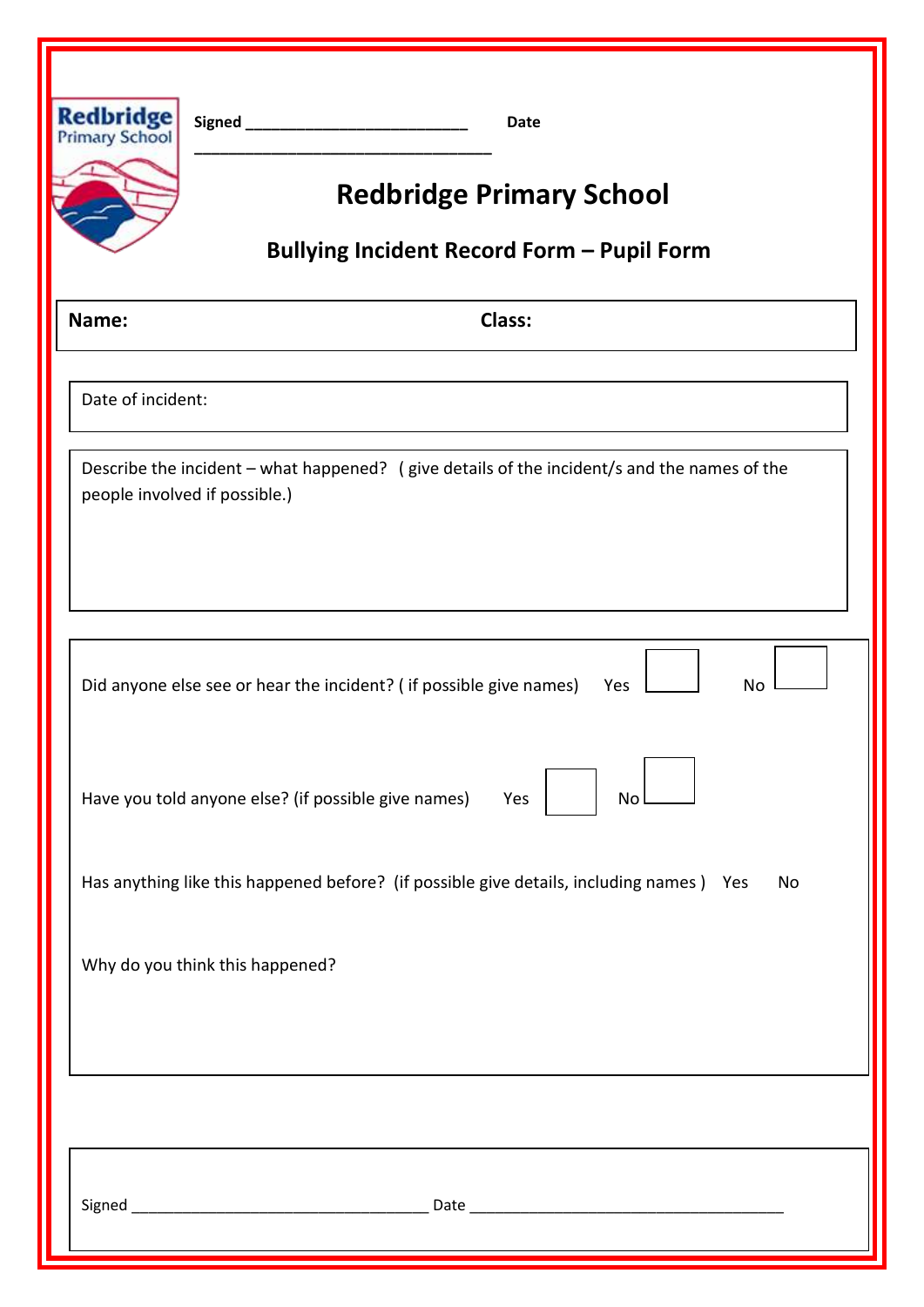| <b>Redbridge</b><br>Primary School | <b>Date</b><br><b>Redbridge Primary School</b>                                                                               |  |  |  |  |  |
|------------------------------------|------------------------------------------------------------------------------------------------------------------------------|--|--|--|--|--|
|                                    | <b>Bullying Incident Record Form - Pupil Form</b>                                                                            |  |  |  |  |  |
| Name:                              | Class:                                                                                                                       |  |  |  |  |  |
| Date of incident:                  |                                                                                                                              |  |  |  |  |  |
|                                    | Describe the incident - what happened? (give details of the incident/s and the names of the<br>people involved if possible.) |  |  |  |  |  |
|                                    | Did anyone else see or hear the incident? (if possible give names)<br>Yes<br>No                                              |  |  |  |  |  |
|                                    | Have you told anyone else? (if possible give names)<br>No<br>Yes                                                             |  |  |  |  |  |
|                                    | Has anything like this happened before? (if possible give details, including names) Yes<br>No                                |  |  |  |  |  |
|                                    | Why do you think this happened?                                                                                              |  |  |  |  |  |
|                                    |                                                                                                                              |  |  |  |  |  |